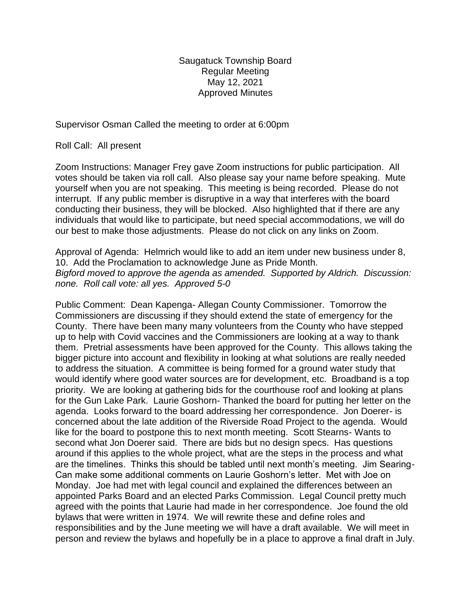Saugatuck Township Board Regular Meeting May 12, 2021 Approved Minutes

Supervisor Osman Called the meeting to order at 6:00pm

Roll Call: All present

Zoom Instructions: Manager Frey gave Zoom instructions for public participation. All votes should be taken via roll call. Also please say your name before speaking. Mute yourself when you are not speaking. This meeting is being recorded. Please do not interrupt. If any public member is disruptive in a way that interferes with the board conducting their business, they will be blocked. Also highlighted that if there are any individuals that would like to participate, but need special accommodations, we will do our best to make those adjustments. Please do not click on any links on Zoom.

Approval of Agenda: Helmrich would like to add an item under new business under 8, 10. Add the Proclamation to acknowledge June as Pride Month. *Bigford moved to approve the agenda as amended. Supported by Aldrich. Discussion: none. Roll call vote: all yes. Approved 5-0*

Public Comment: Dean Kapenga- Allegan County Commissioner. Tomorrow the Commissioners are discussing if they should extend the state of emergency for the County. There have been many many volunteers from the County who have stepped up to help with Covid vaccines and the Commissioners are looking at a way to thank them. Pretrial assessments have been approved for the County. This allows taking the bigger picture into account and flexibility in looking at what solutions are really needed to address the situation. A committee is being formed for a ground water study that would identify where good water sources are for development, etc. Broadband is a top priority. We are looking at gathering bids for the courthouse roof and looking at plans for the Gun Lake Park. Laurie Goshorn- Thanked the board for putting her letter on the agenda. Looks forward to the board addressing her correspondence. Jon Doerer- is concerned about the late addition of the Riverside Road Project to the agenda. Would like for the board to postpone this to next month meeting. Scott Stearns- Wants to second what Jon Doerer said. There are bids but no design specs. Has questions around if this applies to the whole project, what are the steps in the process and what are the timelines. Thinks this should be tabled until next month's meeting. Jim Searing-Can make some additional comments on Laurie Goshorn's letter. Met with Joe on Monday. Joe had met with legal council and explained the differences between an appointed Parks Board and an elected Parks Commission. Legal Council pretty much agreed with the points that Laurie had made in her correspondence. Joe found the old bylaws that were written in 1974. We will rewrite these and define roles and responsibilities and by the June meeting we will have a draft available. We will meet in person and review the bylaws and hopefully be in a place to approve a final draft in July.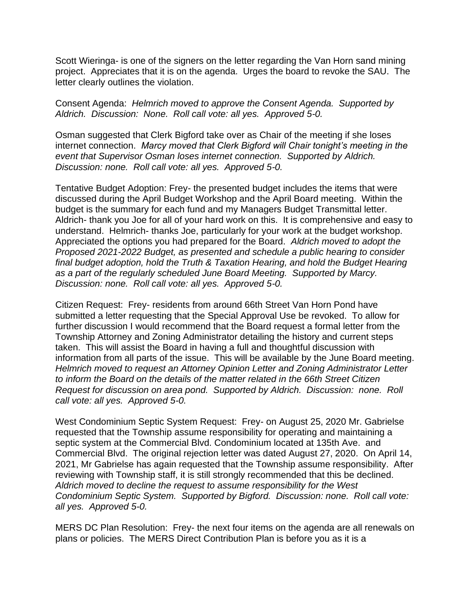Scott Wieringa- is one of the signers on the letter regarding the Van Horn sand mining project. Appreciates that it is on the agenda. Urges the board to revoke the SAU. The letter clearly outlines the violation.

Consent Agenda: *Helmrich moved to approve the Consent Agenda. Supported by Aldrich. Discussion: None. Roll call vote: all yes. Approved 5-0.*

Osman suggested that Clerk Bigford take over as Chair of the meeting if she loses internet connection. *Marcy moved that Clerk Bigford will Chair tonight's meeting in the event that Supervisor Osman loses internet connection. Supported by Aldrich. Discussion: none. Roll call vote: all yes. Approved 5-0.*

Tentative Budget Adoption: Frey- the presented budget includes the items that were discussed during the April Budget Workshop and the April Board meeting. Within the budget is the summary for each fund and my Managers Budget Transmittal letter. Aldrich- thank you Joe for all of your hard work on this. It is comprehensive and easy to understand. Helmrich- thanks Joe, particularly for your work at the budget workshop. Appreciated the options you had prepared for the Board. *Aldrich moved to adopt the Proposed 2021-2022 Budget, as presented and schedule a public hearing to consider final budget adoption, hold the Truth & Taxation Hearing, and hold the Budget Hearing as a part of the regularly scheduled June Board Meeting. Supported by Marcy. Discussion: none. Roll call vote: all yes. Approved 5-0.*

Citizen Request: Frey- residents from around 66th Street Van Horn Pond have submitted a letter requesting that the Special Approval Use be revoked. To allow for further discussion I would recommend that the Board request a formal letter from the Township Attorney and Zoning Administrator detailing the history and current steps taken. This will assist the Board in having a full and thoughtful discussion with information from all parts of the issue. This will be available by the June Board meeting. *Helmrich moved to request an Attorney Opinion Letter and Zoning Administrator Letter to inform the Board on the details of the matter related in the 66th Street Citizen Request for discussion on area pond. Supported by Aldrich. Discussion: none. Roll call vote: all yes. Approved 5-0.*

West Condominium Septic System Request: Frey- on August 25, 2020 Mr. Gabrielse requested that the Township assume responsibility for operating and maintaining a septic system at the Commercial Blvd. Condominium located at 135th Ave. and Commercial Blvd. The original rejection letter was dated August 27, 2020. On April 14, 2021, Mr Gabrielse has again requested that the Township assume responsibility. After reviewing with Township staff, it is still strongly recommended that this be declined. *Aldrich moved to decline the request to assume responsibility for the West Condominium Septic System. Supported by Bigford. Discussion: none. Roll call vote: all yes. Approved 5-0.*

MERS DC Plan Resolution: Frey- the next four items on the agenda are all renewals on plans or policies. The MERS Direct Contribution Plan is before you as it is a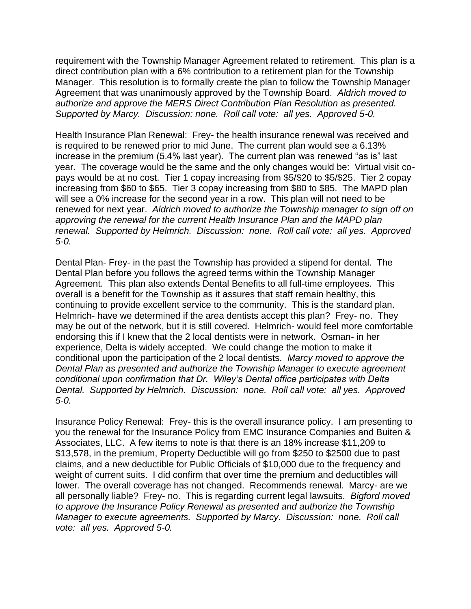requirement with the Township Manager Agreement related to retirement. This plan is a direct contribution plan with a 6% contribution to a retirement plan for the Township Manager. This resolution is to formally create the plan to follow the Township Manager Agreement that was unanimously approved by the Township Board. *Aldrich moved to authorize and approve the MERS Direct Contribution Plan Resolution as presented. Supported by Marcy. Discussion: none. Roll call vote: all yes. Approved 5-0.* 

Health Insurance Plan Renewal: Frey- the health insurance renewal was received and is required to be renewed prior to mid June. The current plan would see a 6.13% increase in the premium (5.4% last year). The current plan was renewed "as is" last year. The coverage would be the same and the only changes would be: Virtual visit copays would be at no cost. Tier 1 copay increasing from \$5/\$20 to \$5/\$25. Tier 2 copay increasing from \$60 to \$65. Tier 3 copay increasing from \$80 to \$85. The MAPD plan will see a 0% increase for the second year in a row. This plan will not need to be renewed for next year. *Aldrich moved to authorize the Township manager to sign off on approving the renewal for the current Health Insurance Plan and the MAPD plan renewal. Supported by Helmrich. Discussion: none. Roll call vote: all yes. Approved 5-0.* 

Dental Plan- Frey- in the past the Township has provided a stipend for dental. The Dental Plan before you follows the agreed terms within the Township Manager Agreement. This plan also extends Dental Benefits to all full-time employees. This overall is a benefit for the Township as it assures that staff remain healthy, this continuing to provide excellent service to the community. This is the standard plan. Helmrich- have we determined if the area dentists accept this plan? Frey- no. They may be out of the network, but it is still covered. Helmrich- would feel more comfortable endorsing this if I knew that the 2 local dentists were in network. Osman- in her experience, Delta is widely accepted. We could change the motion to make it conditional upon the participation of the 2 local dentists. *Marcy moved to approve the Dental Plan as presented and authorize the Township Manager to execute agreement conditional upon confirmation that Dr. Wiley's Dental office participates with Delta Dental. Supported by Helmrich. Discussion: none. Roll call vote: all yes. Approved 5-0.* 

Insurance Policy Renewal: Frey- this is the overall insurance policy. I am presenting to you the renewal for the Insurance Policy from EMC Insurance Companies and Buiten & Associates, LLC. A few items to note is that there is an 18% increase \$11,209 to \$13,578, in the premium, Property Deductible will go from \$250 to \$2500 due to past claims, and a new deductible for Public Officials of \$10,000 due to the frequency and weight of current suits. I did confirm that over time the premium and deductibles will lower. The overall coverage has not changed. Recommends renewal. Marcy- are we all personally liable? Frey- no. This is regarding current legal lawsuits. *Bigford moved to approve the Insurance Policy Renewal as presented and authorize the Township Manager to execute agreements. Supported by Marcy. Discussion: none. Roll call vote: all yes. Approved 5-0.*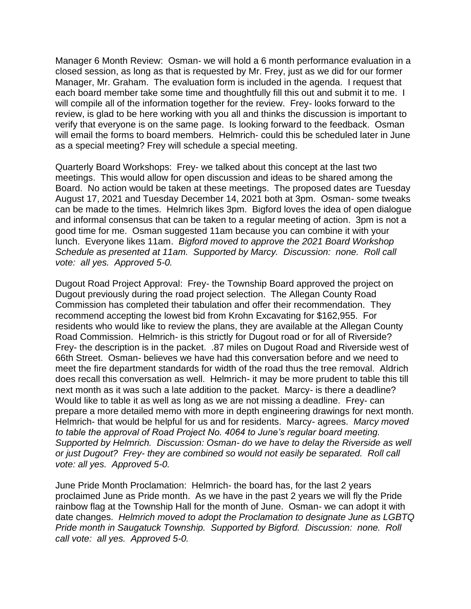Manager 6 Month Review: Osman- we will hold a 6 month performance evaluation in a closed session, as long as that is requested by Mr. Frey, just as we did for our former Manager, Mr. Graham. The evaluation form is included in the agenda. I request that each board member take some time and thoughtfully fill this out and submit it to me. I will compile all of the information together for the review. Frey- looks forward to the review, is glad to be here working with you all and thinks the discussion is important to verify that everyone is on the same page. Is looking forward to the feedback. Osman will email the forms to board members. Helmrich- could this be scheduled later in June as a special meeting? Frey will schedule a special meeting.

Quarterly Board Workshops: Frey- we talked about this concept at the last two meetings. This would allow for open discussion and ideas to be shared among the Board. No action would be taken at these meetings. The proposed dates are Tuesday August 17, 2021 and Tuesday December 14, 2021 both at 3pm. Osman- some tweaks can be made to the times. Helmrich likes 3pm. Bigford loves the idea of open dialogue and informal consensus that can be taken to a regular meeting of action. 3pm is not a good time for me. Osman suggested 11am because you can combine it with your lunch. Everyone likes 11am. *Bigford moved to approve the 2021 Board Workshop Schedule as presented at 11am. Supported by Marcy. Discussion: none. Roll call vote: all yes. Approved 5-0.* 

Dugout Road Project Approval: Frey- the Township Board approved the project on Dugout previously during the road project selection. The Allegan County Road Commission has completed their tabulation and offer their recommendation. They recommend accepting the lowest bid from Krohn Excavating for \$162,955. For residents who would like to review the plans, they are available at the Allegan County Road Commission. Helmrich- is this strictly for Dugout road or for all of Riverside? Frey- the description is in the packet. .87 miles on Dugout Road and Riverside west of 66th Street. Osman- believes we have had this conversation before and we need to meet the fire department standards for width of the road thus the tree removal. Aldrich does recall this conversation as well. Helmrich- it may be more prudent to table this till next month as it was such a late addition to the packet. Marcy- is there a deadline? Would like to table it as well as long as we are not missing a deadline. Frey- can prepare a more detailed memo with more in depth engineering drawings for next month. Helmrich- that would be helpful for us and for residents. Marcy- agrees. *Marcy moved to table the approval of Road Project No. 4064 to June's regular board meeting. Supported by Helmrich. Discussion: Osman- do we have to delay the Riverside as well or just Dugout? Frey- they are combined so would not easily be separated. Roll call vote: all yes. Approved 5-0.* 

June Pride Month Proclamation: Helmrich- the board has, for the last 2 years proclaimed June as Pride month. As we have in the past 2 years we will fly the Pride rainbow flag at the Township Hall for the month of June. Osman- we can adopt it with date changes. *Helmrich moved to adopt the Proclamation to designate June as LGBTQ Pride month in Saugatuck Township. Supported by Bigford. Discussion: none. Roll call vote: all yes. Approved 5-0.*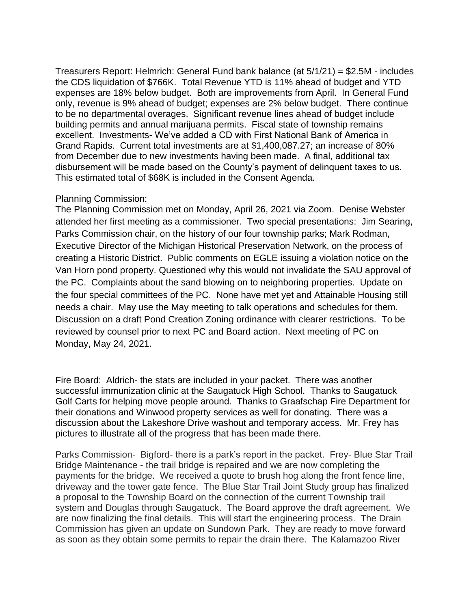Treasurers Report: Helmrich: General Fund bank balance (at 5/1/21) = \$2.5M - includes the CDS liquidation of \$766K. Total Revenue YTD is 11% ahead of budget and YTD expenses are 18% below budget. Both are improvements from April. In General Fund only, revenue is 9% ahead of budget; expenses are 2% below budget. There continue to be no departmental overages. Significant revenue lines ahead of budget include building permits and annual marijuana permits. Fiscal state of township remains excellent. Investments- We've added a CD with First National Bank of America in Grand Rapids. Current total investments are at \$1,400,087.27; an increase of 80% from December due to new investments having been made. A final, additional tax disbursement will be made based on the County's payment of delinquent taxes to us. This estimated total of \$68K is included in the Consent Agenda.

## Planning Commission:

The Planning Commission met on Monday, April 26, 2021 via Zoom. Denise Webster attended her first meeting as a commissioner. Two special presentations: Jim Searing, Parks Commission chair, on the history of our four township parks; Mark Rodman, Executive Director of the Michigan Historical Preservation Network, on the process of creating a Historic District. Public comments on EGLE issuing a violation notice on the Van Horn pond property. Questioned why this would not invalidate the SAU approval of the PC. Complaints about the sand blowing on to neighboring properties. Update on the four special committees of the PC. None have met yet and Attainable Housing still needs a chair. May use the May meeting to talk operations and schedules for them. Discussion on a draft Pond Creation Zoning ordinance with clearer restrictions. To be reviewed by counsel prior to next PC and Board action. Next meeting of PC on Monday, May 24, 2021.

Fire Board: Aldrich- the stats are included in your packet. There was another successful immunization clinic at the Saugatuck High School. Thanks to Saugatuck Golf Carts for helping move people around. Thanks to Graafschap Fire Department for their donations and Winwood property services as well for donating. There was a discussion about the Lakeshore Drive washout and temporary access. Mr. Frey has pictures to illustrate all of the progress that has been made there.

Parks Commission- Bigford- there is a park's report in the packet. Frey- Blue Star Trail Bridge Maintenance - the trail bridge is repaired and we are now completing the payments for the bridge. We received a quote to brush hog along the front fence line, driveway and the tower gate fence. The Blue Star Trail Joint Study group has finalized a proposal to the Township Board on the connection of the current Township trail system and Douglas through Saugatuck. The Board approve the draft agreement. We are now finalizing the final details. This will start the engineering process. The Drain Commission has given an update on Sundown Park. They are ready to move forward as soon as they obtain some permits to repair the drain there. The Kalamazoo River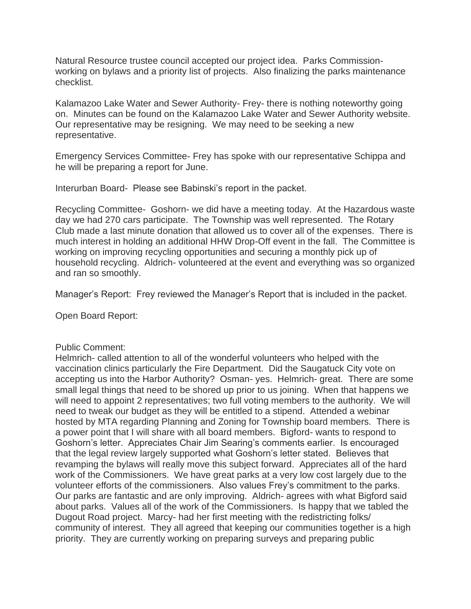Natural Resource trustee council accepted our project idea. Parks Commissionworking on bylaws and a priority list of projects. Also finalizing the parks maintenance checklist.

Kalamazoo Lake Water and Sewer Authority- Frey- there is nothing noteworthy going on. Minutes can be found on the Kalamazoo Lake Water and Sewer Authority website. Our representative may be resigning. We may need to be seeking a new representative.

Emergency Services Committee- Frey has spoke with our representative Schippa and he will be preparing a report for June.

Interurban Board- Please see Babinski's report in the packet.

Recycling Committee- Goshorn- we did have a meeting today. At the Hazardous waste day we had 270 cars participate. The Township was well represented. The Rotary Club made a last minute donation that allowed us to cover all of the expenses. There is much interest in holding an additional HHW Drop-Off event in the fall. The Committee is working on improving recycling opportunities and securing a monthly pick up of household recycling. Aldrich- volunteered at the event and everything was so organized and ran so smoothly.

Manager's Report: Frey reviewed the Manager's Report that is included in the packet.

Open Board Report:

## Public Comment:

Helmrich- called attention to all of the wonderful volunteers who helped with the vaccination clinics particularly the Fire Department. Did the Saugatuck City vote on accepting us into the Harbor Authority? Osman- yes. Helmrich- great. There are some small legal things that need to be shored up prior to us joining. When that happens we will need to appoint 2 representatives; two full voting members to the authority. We will need to tweak our budget as they will be entitled to a stipend. Attended a webinar hosted by MTA regarding Planning and Zoning for Township board members. There is a power point that I will share with all board members. Bigford- wants to respond to Goshorn's letter. Appreciates Chair Jim Searing's comments earlier. Is encouraged that the legal review largely supported what Goshorn's letter stated. Believes that revamping the bylaws will really move this subject forward. Appreciates all of the hard work of the Commissioners. We have great parks at a very low cost largely due to the volunteer efforts of the commissioners. Also values Frey's commitment to the parks. Our parks are fantastic and are only improving. Aldrich- agrees with what Bigford said about parks. Values all of the work of the Commissioners. Is happy that we tabled the Dugout Road project. Marcy- had her first meeting with the redistricting folks/ community of interest. They all agreed that keeping our communities together is a high priority. They are currently working on preparing surveys and preparing public